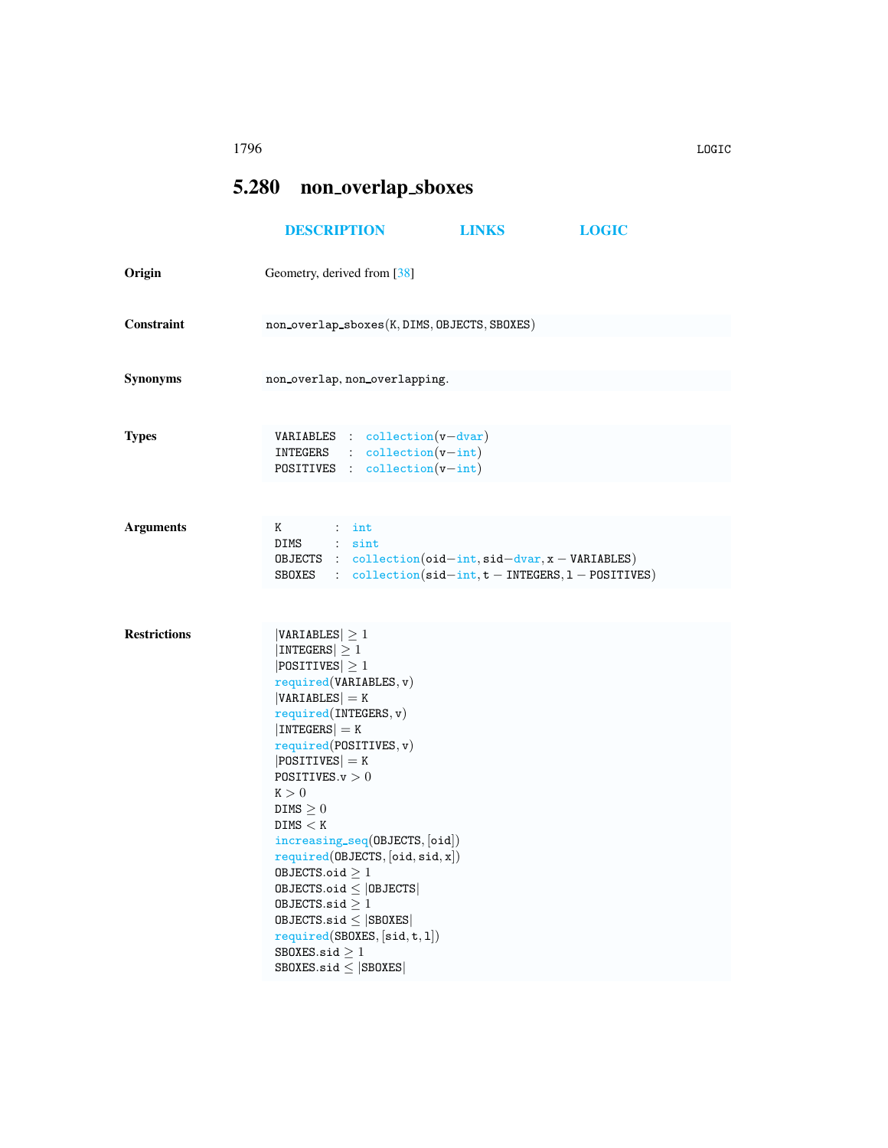## <span id="page-0-0"></span>5.280 non overlap sboxes

|                     | <b>DESCRIPTION</b>                                                                                                                                                                                                                                                                                                                                                                                                                                                                                                                                            | <b>LINKS</b> | <b>LOGIC</b> |
|---------------------|---------------------------------------------------------------------------------------------------------------------------------------------------------------------------------------------------------------------------------------------------------------------------------------------------------------------------------------------------------------------------------------------------------------------------------------------------------------------------------------------------------------------------------------------------------------|--------------|--------------|
| Origin              | Geometry, derived from [38]                                                                                                                                                                                                                                                                                                                                                                                                                                                                                                                                   |              |              |
| Constraint          | non_overlap_sboxes(K, DIMS, OBJECTS, SBOXES)                                                                                                                                                                                                                                                                                                                                                                                                                                                                                                                  |              |              |
| Synonyms            | non_overlap, non_overlapping.                                                                                                                                                                                                                                                                                                                                                                                                                                                                                                                                 |              |              |
| <b>Types</b>        | <b>VARIABLES</b> : collection( $v$ -dvar)<br>$INTEGRS$ : $collection(v-int)$<br>POSITIVES : collection(v-int)                                                                                                                                                                                                                                                                                                                                                                                                                                                 |              |              |
| <b>Arguments</b>    | Κ<br>$:$ int<br>DIMS : sint<br>OBJECTS : $collection(oid-int, sid-dvar, x - VARIABLES)$<br>SBOXES : $\text{collection}(\text{sid} - \text{int}, t - \text{INTEGRS}, 1 - \text{POSITIVES})$                                                                                                                                                                                                                                                                                                                                                                    |              |              |
| <b>Restrictions</b> | $ VARIABLES  \geq 1$<br>$ INTEGERS  \geq 1$<br>$ POSITIVES  \geq 1$<br>required(VARIABLES, v)<br>$ VARIABLES  = K$<br>required(INTERS, v)<br>$ INTEGERS  = K$<br>required(POSTTIVES, v)<br>$ POSITIVES  = K$<br>POSITIVES. $v > 0$<br>K > 0<br>$DIMS \geq 0$<br>DIMS < K<br>$increasing\_seq(0BJECTS, [oid])$<br>required(DBJECTS, [oid, sid, x])<br>OBJECTS.oid $\geq 1$<br>$0$ BJECTS.oid $\leq$   0BJECTS  <br>OBJECTS.sid $\geq 1$<br>$0$ BJECTS.sid $\leq$ SB0XES<br>required(SBOXES, [sid, t, 1])<br>SB0XES.sid $\geq 1$<br>$SBOKES.size \leq  SBOKES $ |              |              |

1796 LOGIC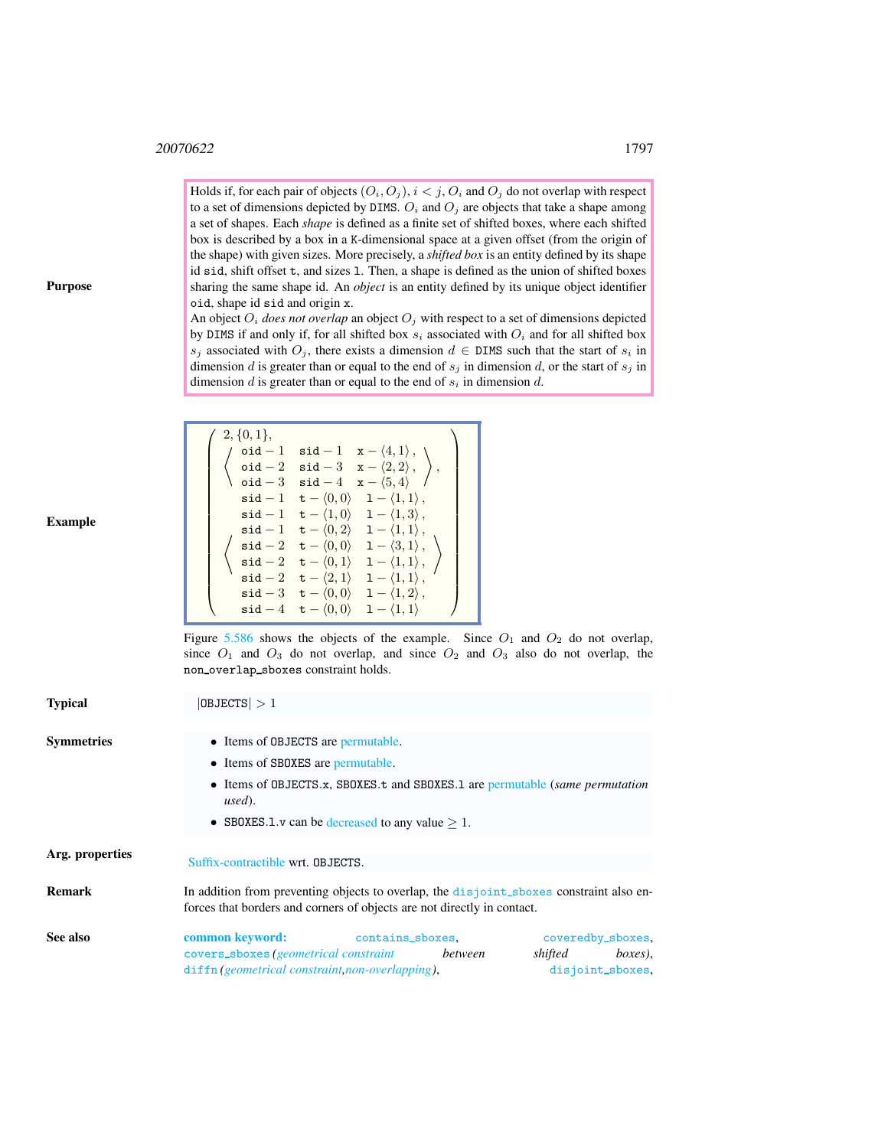$\sqrt{ }$ 

 $2, \{0, 1\},\$ 

Holds if, for each pair of objects  $(O_i, O_j)$ ,  $i < j$ ,  $O_i$  and  $O_j$  do not overlap with respect to a set of dimensions depicted by DIMS.  $O_i$  and  $O_j$  are objects that take a shape among a set of shapes. Each *shape* is defined as a finite set of shifted boxes, where each shifted box is described by a box in a K-dimensional space at a given offset (from the origin of the shape) with given sizes. More precisely, a *shifted box* is an entity defined by its shape id sid, shift offset t, and sizes l. Then, a shape is defined as the union of shifted boxes sharing the same shape id. An *object* is an entity defined by its unique object identifier oid, shape id sid and origin x.

An object  $O_i$  *does not overlap* an object  $O_j$  with respect to a set of dimensions depicted by DIMS if and only if, for all shifted box  $s_i$  associated with  $O_i$  and for all shifted box s<sub>j</sub> associated with  $O_j$ , there exists a dimension  $d \in \text{DIMS}$  such that the start of s<sub>i</sub> in dimension d is greater than or equal to the end of  $s_j$  in dimension d, or the start of  $s_j$  in dimension  $d$  is greater than or equal to the end of  $s_i$  in dimension  $d$ .

 $\setminus$ 

 $\setminus$ 

|  |                                                            | $5 + 4$ $1 + 4$ $1 + 1$                                                                              |  |
|--|------------------------------------------------------------|------------------------------------------------------------------------------------------------------|--|
|  |                                                            | oid $-2$ sid $-3$ x $-\langle 2, 2 \rangle$ ,                                                        |  |
|  |                                                            | oid $-3$ sid $-4$ x $-\langle 5,4\rangle$                                                            |  |
|  |                                                            | $\texttt{sid} - 1 \quad \texttt{t} - \langle 0, 0 \rangle \quad 1 - \langle 1, 1 \rangle$ ,          |  |
|  |                                                            | $\texttt{sid} - 1 \quad \texttt{t} - \langle 1, 0 \rangle \quad 1 - \langle 1, 3 \rangle$ ,          |  |
|  |                                                            | $\texttt{sid} - 1 \quad \texttt{t} - \langle 0, 2 \rangle \quad \texttt{1} - \langle 1, 1 \rangle$ , |  |
|  |                                                            | $\mathsf{sid}-2 \quad \mathsf{t}-\langle 0,0\rangle \quad 1-\langle 3,1\rangle$ ,                    |  |
|  |                                                            | $\mathsf{sid}-2 \quad \mathsf{t}-\langle 0,1\rangle \quad 1-\langle 1,1\rangle\,,$                   |  |
|  | $\texttt{sid} - 2 \quad \texttt{t} - \langle 2, 1 \rangle$ | $1 - \langle 1, 1 \rangle$ ,                                                                         |  |
|  |                                                            | $\mathsf{sid} - 3 \quad \mathsf{t} - \langle 0, 0 \rangle \quad 1 - \langle 1, 2 \rangle$ ,          |  |
|  |                                                            | $\mathsf{sid} - 4 \quad \mathsf{t} - \langle 0,0 \rangle \quad 1 - \langle 1,1 \rangle$              |  |

 $\int$  oid - 1 sid - 1 x -  $\langle 4, 1 \rangle$ ,

Figure [5.586](#page-2-0) shows the objects of the example. Since  $O_1$  and  $O_2$  do not overlap, since  $O_1$  and  $O_3$  do not overlap, and since  $O_2$  and  $O_3$  also do not overlap, the non overlap sboxes constraint holds.

<span id="page-1-0"></span>

| <b>Typical</b>    | $ 0$ BJECTS $ >1$                                                                                                                                                                                             |  |  |  |  |
|-------------------|---------------------------------------------------------------------------------------------------------------------------------------------------------------------------------------------------------------|--|--|--|--|
|                   |                                                                                                                                                                                                               |  |  |  |  |
| <b>Symmetries</b> | • Items of OBJECTS are permutable.                                                                                                                                                                            |  |  |  |  |
|                   | • Items of SBOXES are permutable.                                                                                                                                                                             |  |  |  |  |
|                   | • Items of OBJECTS.x, SBOXES.t and SBOXES.1 are permutable (same permutation<br>used).                                                                                                                        |  |  |  |  |
|                   | • SBOXES.1. $v$ can be decreased to any value $> 1$ .                                                                                                                                                         |  |  |  |  |
| Arg. properties   | Suffix-contractible wrt. OBJECTS.                                                                                                                                                                             |  |  |  |  |
| <b>Remark</b>     | In addition from preventing objects to overlap, the disjoint_sboxes constraint also en-<br>forces that borders and corners of objects are not directly in contact.                                            |  |  |  |  |
| See also          | <b>common keyword:</b> contains_sboxes,<br>coveredby_sboxes,<br>covers_sboxes (geometrical constraint<br>shifted<br>boxes).<br>between<br>diffn(geometrical constraint, non-overlapping),<br>disjoint_sboxes, |  |  |  |  |

Purpose

Example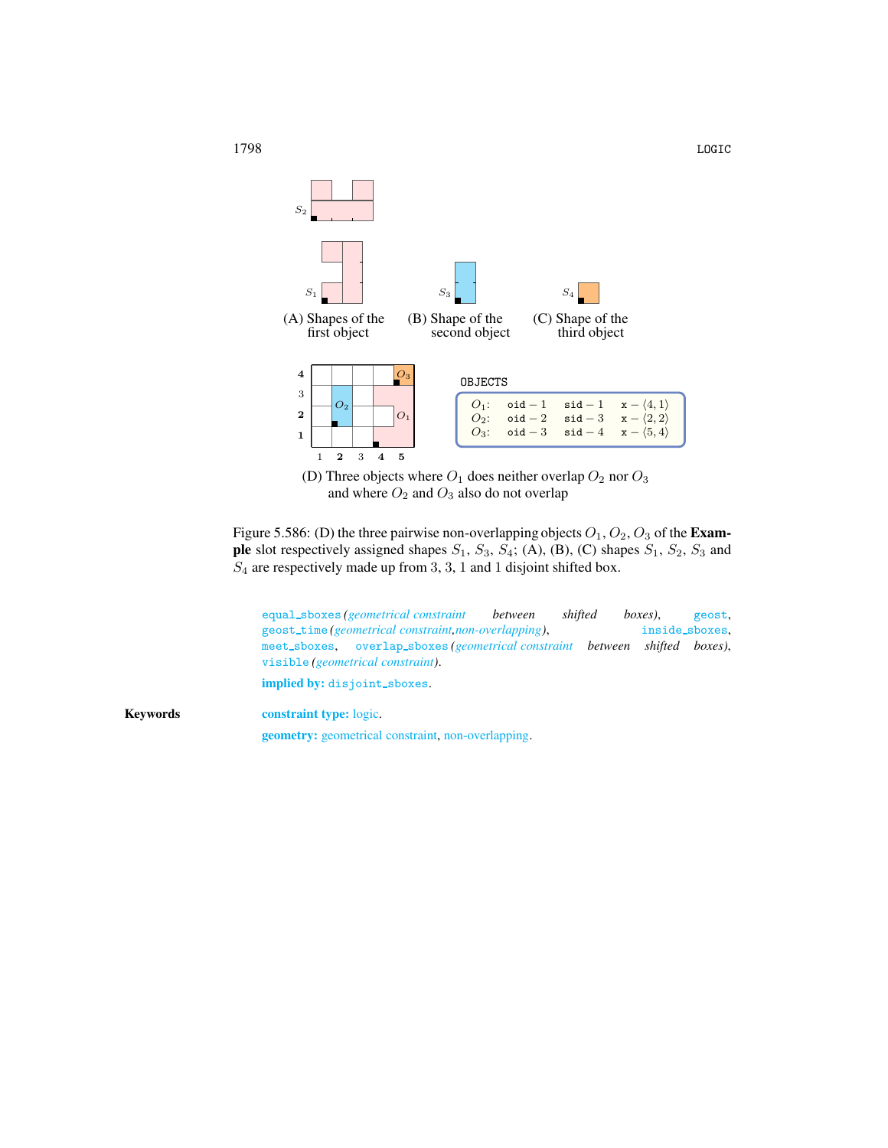

<span id="page-2-0"></span>(D) Three objects where  ${\cal O}_1$  does neither overlap  ${\cal O}_2$  nor  ${\cal O}_3$ and where  $O_2$  and  $O_3$  also do not overlap

Figure 5.586: (D) the three pairwise non-overlapping objects  $O_1$ ,  $O_2$ ,  $O_3$  of the **Exam**ple slot respectively assigned shapes  $S_1$ ,  $S_3$ ,  $S_4$ ; (A), (B), (C) shapes  $S_1$ ,  $S_2$ ,  $S_3$  and  $S_4$  are respectively made up from 3, 3, 1 and 1 disjoint shifted box.

| equal_sboxes (geometrical constraint                                   |                                                                      | between | shifted |  | boxes), | geost.  |  |
|------------------------------------------------------------------------|----------------------------------------------------------------------|---------|---------|--|---------|---------|--|
| geost_time(geometrical constraint, non-overlapping),<br>inside_sboxes. |                                                                      |         |         |  |         |         |  |
|                                                                        | meet_sboxes, overlap_sboxes( <i>geometrical constraint between</i> ) |         |         |  | shifted | boxes). |  |
| visible (geometrical constraint).                                      |                                                                      |         |         |  |         |         |  |
| implied by: disjoint_sboxes.                                           |                                                                      |         |         |  |         |         |  |

Keywords constraint type: logic. geometry: geometrical constraint, non-overlapping.